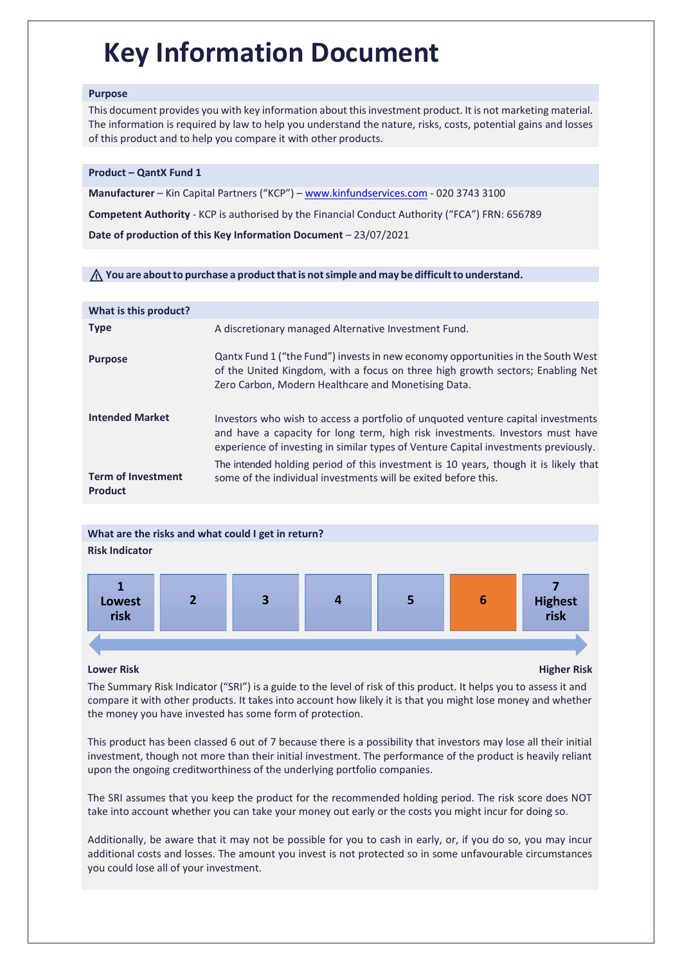# **Key Information Document**

## **Purpose**

This document provides you with key information about thisinvestment product. It is not marketing material. The information is required by law to help you understand the nature, risks, costs, potential gains and losses of this product and to help you compare it with other products.

## **Product – QantX Fund 1**

**Manufacturer** – Kin Capital Partners ("KCP") – [www.kinfundservices.com](http://www.kinfundservices.com/) - 020 3743 3100

**Competent Authority** - KCP is authorised by the Financial Conduct Authority ("FCA") FRN: 656789

**Date of production of this Key Information Document** – 23/07/2021

# ⚠ **You are aboutto purchase a productthatis notsimple and may be difficultto understand.**

| What is this product?                       |                                                                                                                                                                                                                                                          |
|---------------------------------------------|----------------------------------------------------------------------------------------------------------------------------------------------------------------------------------------------------------------------------------------------------------|
| <b>Type</b>                                 | A discretionary managed Alternative Investment Fund.                                                                                                                                                                                                     |
| <b>Purpose</b>                              | Qantx Fund 1 ("the Fund") invests in new economy opportunities in the South West<br>of the United Kingdom, with a focus on three high growth sectors; Enabling Net<br>Zero Carbon, Modern Healthcare and Monetising Data.                                |
| <b>Intended Market</b>                      | Investors who wish to access a portfolio of unquoted venture capital investments<br>and have a capacity for long term, high risk investments. Investors must have<br>experience of investing in similar types of Venture Capital investments previously. |
| <b>Term of Investment</b><br><b>Product</b> | The intended holding period of this investment is 10 years, though it is likely that<br>some of the individual investments will be exited before this.                                                                                                   |

# **What are the risks and what could I get in return?**

# **Risk Indicator**



# **Lower Risk Higher Risk**

The Summary Risk Indicator ("SRI") is a guide to the level of risk of this product. It helps you to assess it and compare it with other products. It takes into account how likely it is that you might lose money and whether the money you have invested has some form of protection.

This product has been classed 6 out of 7 because there is a possibility that investors may lose all their initial investment, though not more than their initial investment. The performance of the product is heavily reliant upon the ongoing creditworthiness of the underlying portfolio companies.

The SRI assumes that you keep the product for the recommended holding period. The risk score does NOT take into account whether you can take your money out early or the costs you might incur for doing so.

Additionally, be aware that it may not be possible for you to cash in early, or, if you do so, you may incur additional costs and losses. The amount you invest is not protected so in some unfavourable circumstances you could lose all of your investment.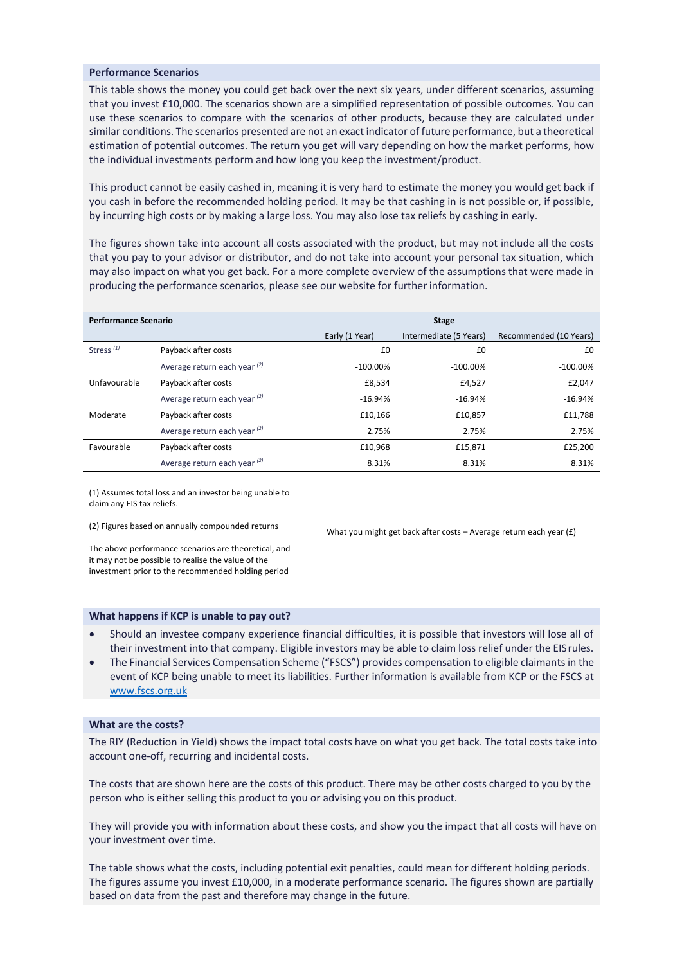#### **Performance Scenarios**

This table shows the money you could get back over the next six years, under different scenarios, assuming that you invest £10,000. The scenarios shown are a simplified representation of possible outcomes. You can use these scenarios to compare with the scenarios of other products, because they are calculated under similar conditions. The scenarios presented are not an exact indicator of future performance, but a theoretical estimation of potential outcomes. The return you get will vary depending on how the market performs, how the individual investments perform and how long you keep the investment/product.

This product cannot be easily cashed in, meaning it is very hard to estimate the money you would get back if you cash in before the recommended holding period. It may be that cashing in is not possible or, if possible, by incurring high costs or by making a large loss. You may also lose tax reliefs by cashing in early.

The figures shown take into account all costs associated with the product, but may not include all the costs that you pay to your advisor or distributor, and do not take into account your personal tax situation, which may also impact on what you get back. For a more complete overview of the assumptions that were made in producing the performance scenarios, please see our website for further information.

| <b>Performance Scenario</b> |                              | <b>Stage</b>   |                        |                        |  |
|-----------------------------|------------------------------|----------------|------------------------|------------------------|--|
|                             |                              | Early (1 Year) | Intermediate (5 Years) | Recommended (10 Years) |  |
| Stress <sup>(1)</sup>       | Payback after costs          | £0             | £0                     | £0                     |  |
|                             | Average return each year (2) | $-100.00\%$    | $-100.00\%$            | $-100.00\%$            |  |
| Unfavourable                | Payback after costs          | £8,534         | £4,527                 | £2,047                 |  |
|                             | Average return each year (2) | $-16.94%$      | $-16.94%$              | $-16.94%$              |  |
| Moderate                    | Payback after costs          | £10.166        | £10.857                | £11,788                |  |
|                             | Average return each year (2) | 2.75%          | 2.75%                  | 2.75%                  |  |
| Favourable                  | Payback after costs          | £10,968        | £15,871                | £25,200                |  |
|                             | Average return each year (2) | 8.31%          | 8.31%                  | 8.31%                  |  |

(1) Assumes total loss and an investor being unable to claim any EIS tax reliefs.

(2) Figures based on annually compounded returns

What you might get back after costs – Average return each year (£)

The above performance scenarios are theoretical, and it may not be possible to realise the value of the investment prior to the recommended holding period

#### **What happens if KCP is unable to pay out?**

- Should an investee company experience financial difficulties, it is possible that investors will lose all of their investment into that company. Eligible investors may be able to claim loss relief under the EISrules.
- The Financial Services Compensation Scheme ("FSCS") provides compensation to eligible claimants in the event of KCP being unable to meet its liabilities. Further information is available from KCP or the FSCS a[t](http://www.fscs.org.uk/) [www.fscs.org.uk](http://www.fscs.org.uk/)

#### **What are the costs?**

The RIY (Reduction in Yield) shows the impact total costs have on what you get back. The total costs take into account one-off, recurring and incidental costs.

The costs that are shown here are the costs of this product. There may be other costs charged to you by the person who is either selling this product to you or advising you on this product.

They will provide you with information about these costs, and show you the impact that all costs will have on your investment over time.

The table shows what the costs, including potential exit penalties, could mean for different holding periods. The figures assume you invest £10,000, in a moderate performance scenario. The figures shown are partially based on data from the past and therefore may change in the future.